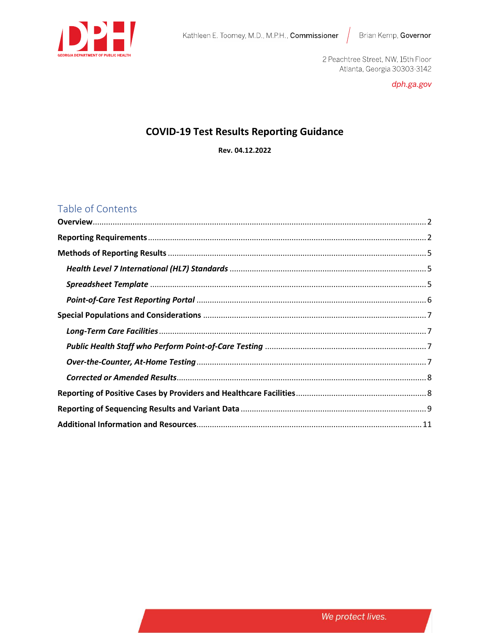

2 Peachtree Street, NW, 15th Floor Atlanta, Georgia 30303-3142

dph.ga.gov

# **COVID-19 Test Results Reporting Guidance**

Rev. 04.12.2022

# Table of Contents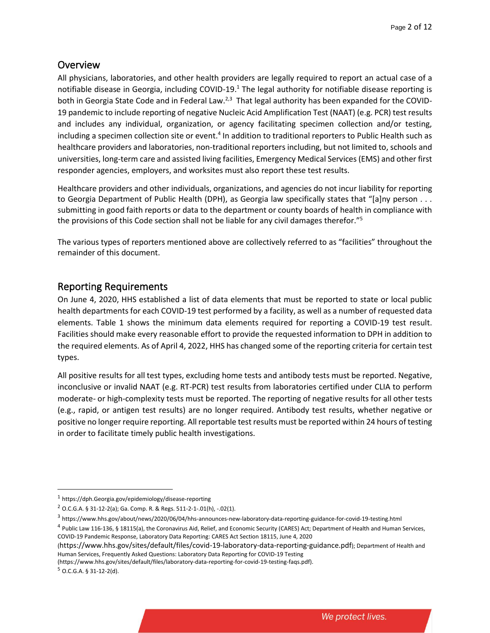# <span id="page-1-0"></span>**Overview**

All physicians, laboratories, and other health providers are legally required to report an actual case of a notifiable disease in Georgia, including COVID-19.<sup>1</sup> The legal authority for notifiable disease reporting is both in Georgia State Code and in Federal Law.<sup>2,3</sup> That legal authority has been expanded for the COVID-19 pandemic to include reporting of negative Nucleic Acid Amplification Test (NAAT) (e.g. PCR) test results and includes any individual, organization, or agency facilitating specimen collection and/or testing, including a specimen collection site or event.<sup>4</sup> In addition to traditional reporters to Public Health such as healthcare providers and laboratories, non-traditional reporters including, but not limited to, schools and universities, long-term care and assisted living facilities, Emergency Medical Services (EMS) and other first responder agencies, employers, and worksites must also report these test results.

Healthcare providers and other individuals, organizations, and agencies do not incur liability for reporting to Georgia Department of Public Health (DPH), as Georgia law specifically states that "[a]ny person . . . submitting in good faith reports or data to the department or county boards of health in compliance with the provisions of this Code section shall not be liable for any civil damages therefor."<sup>5</sup>

The various types of reporters mentioned above are collectively referred to as "facilities" throughout the remainder of this document.

# <span id="page-1-1"></span>Reporting Requirements

On June 4, 2020, HHS established a list of data elements that must be reported to state or local public health departments for each COVID-19 test performed by a facility, as well as a number of requested data elements. Table 1 shows the minimum data elements required for reporting a COVID-19 test result. Facilities should make every reasonable effort to provide the requested information to DPH in addition to the required elements. As of April 4, 2022, HHS has changed some of the reporting criteria for certain test types.

All positive results for all test types, excluding home tests and antibody tests must be reported. Negative, inconclusive or invalid NAAT (e.g. RT-PCR) test results from laboratories certified under CLIA to perform moderate- or high-complexity tests must be reported. The reporting of negative results for all other tests (e.g., rapid, or antigen test results) are no longer required. Antibody test results, whether negative or positive no longer require reporting. All reportable test results must be reported within 24 hours of testing in order to facilitate timely public health investigations.

(<https://www.hhs.gov/sites/default/files/covid-19-laboratory-data-reporting-guidance.pdf>); Department of Health and Human Services, Frequently Asked Questions: Laboratory Data Reporting for COVID-19 Testing

(https://www.hhs.gov/sites/default/files/laboratory-data-reporting-for-covid-19-testing-faqs.pdf).

 $5$  O.C.G.A. § 31-12-2(d).

<sup>1</sup> [https://dph.Georgia.gov/epidemiology/disease-reporting](https://dph.georgia.gov/epidemiology/disease-reporting)

 $2$  O.C.G.A. § 31-12-2(a); Ga. Comp. R. & Regs. 511-2-1-.01(h), -.02(1).

<sup>&</sup>lt;sup>3</sup> <https://www.hhs.gov/about/news/2020/06/04/hhs-announces-new-laboratory-data-reporting-guidance-for-covid-19-testing.html>

<sup>&</sup>lt;sup>4</sup> Public Law 116-136, § 18115(a), the Coronavirus Aid, Relief, and Economic Security (CARES) Act; Department of Health and Human Services, COVID-19 Pandemic Response, Laboratory Data Reporting: CARES Act Section 18115, June 4, 2020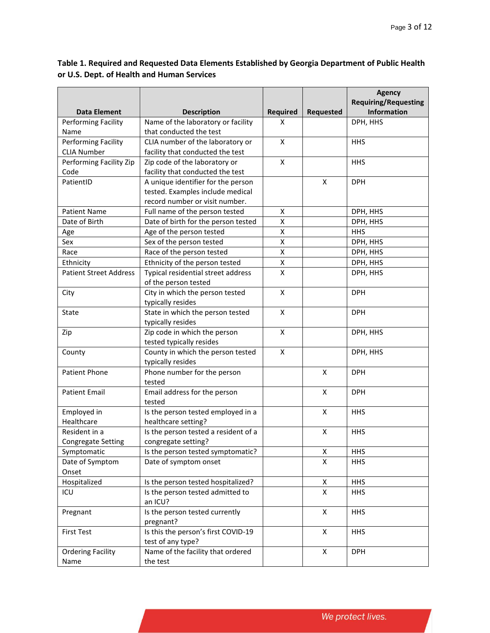### **Table 1. Required and Requested Data Elements Established by Georgia Department of Public Health or U.S. Dept. of Health and Human Services**

|                               |                                      |          |                  | <b>Agency</b>               |
|-------------------------------|--------------------------------------|----------|------------------|-----------------------------|
|                               |                                      |          |                  | <b>Requiring/Requesting</b> |
| <b>Data Element</b>           | <b>Description</b>                   | Required | <b>Requested</b> | <b>Information</b>          |
| Performing Facility           | Name of the laboratory or facility   | X        |                  | DPH, HHS                    |
| Name                          | that conducted the test              |          |                  |                             |
| <b>Performing Facility</b>    | CLIA number of the laboratory or     | X        |                  | <b>HHS</b>                  |
| <b>CLIA Number</b>            | facility that conducted the test     |          |                  |                             |
| Performing Facility Zip       | Zip code of the laboratory or        | X        |                  | <b>HHS</b>                  |
| Code                          | facility that conducted the test     |          |                  |                             |
| PatientID                     | A unique identifier for the person   |          | X                | <b>DPH</b>                  |
|                               | tested. Examples include medical     |          |                  |                             |
|                               | record number or visit number.       |          |                  |                             |
| <b>Patient Name</b>           | Full name of the person tested       | X        |                  | DPH, HHS                    |
| Date of Birth                 | Date of birth for the person tested  | Χ        |                  | DPH, HHS                    |
| Age                           | Age of the person tested             | Χ        |                  | <b>HHS</b>                  |
| Sex                           | Sex of the person tested             | X        |                  | DPH, HHS                    |
| Race                          | Race of the person tested            | Χ        |                  | DPH, HHS                    |
| Ethnicity                     | Ethnicity of the person tested       | Χ        |                  | DPH, HHS                    |
| <b>Patient Street Address</b> | Typical residential street address   | X        |                  | DPH, HHS                    |
|                               | of the person tested                 |          |                  |                             |
| City                          | City in which the person tested      | X        |                  | <b>DPH</b>                  |
|                               | typically resides                    |          |                  |                             |
| State                         | State in which the person tested     | X        |                  | <b>DPH</b>                  |
|                               | typically resides                    |          |                  |                             |
| Zip                           | Zip code in which the person         | X        |                  | DPH, HHS                    |
|                               | tested typically resides             |          |                  |                             |
| County                        | County in which the person tested    | X        |                  | DPH, HHS                    |
|                               | typically resides                    |          |                  |                             |
| <b>Patient Phone</b>          | Phone number for the person          |          | X                | <b>DPH</b>                  |
|                               | tested                               |          |                  |                             |
| <b>Patient Email</b>          | Email address for the person         |          | X                | <b>DPH</b>                  |
|                               | tested                               |          |                  |                             |
| Employed in                   | Is the person tested employed in a   |          | X                | <b>HHS</b>                  |
| Healthcare                    | healthcare setting?                  |          |                  |                             |
| Resident in a                 | Is the person tested a resident of a |          | X                | <b>HHS</b>                  |
| <b>Congregate Setting</b>     | congregate setting?                  |          |                  |                             |
| Symptomatic                   | Is the person tested symptomatic?    |          | X                | <b>HHS</b>                  |
| Date of Symptom               | Date of symptom onset                |          | X                | <b>HHS</b>                  |
| Onset                         |                                      |          |                  |                             |
| Hospitalized                  | Is the person tested hospitalized?   |          | Χ                | <b>HHS</b>                  |
| ICU                           | Is the person tested admitted to     |          | X                | <b>HHS</b>                  |
|                               | an ICU?                              |          |                  |                             |
| Pregnant                      | Is the person tested currently       |          | X                | <b>HHS</b>                  |
|                               | pregnant?                            |          |                  |                             |
| <b>First Test</b>             | Is this the person's first COVID-19  |          | X                | <b>HHS</b>                  |
|                               | test of any type?                    |          |                  |                             |
| <b>Ordering Facility</b>      | Name of the facility that ordered    |          | X                | <b>DPH</b>                  |
| Name                          | the test                             |          |                  |                             |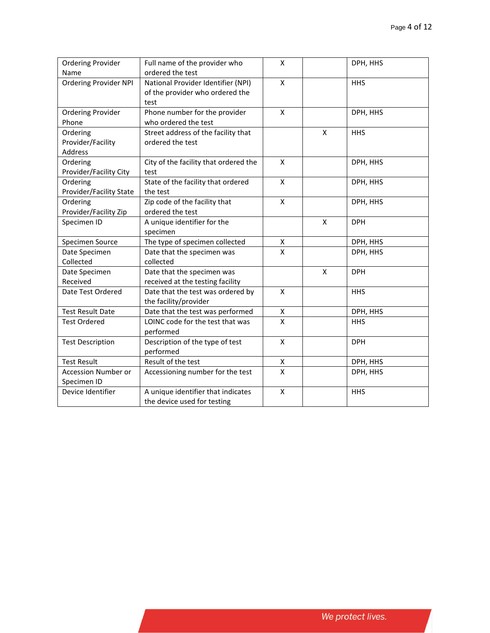| <b>Ordering Provider</b>     | Full name of the provider who         | X                       |              | DPH, HHS   |
|------------------------------|---------------------------------------|-------------------------|--------------|------------|
| Name                         | ordered the test                      |                         |              |            |
| <b>Ordering Provider NPI</b> | National Provider Identifier (NPI)    | $\overline{X}$          |              | <b>HHS</b> |
|                              | of the provider who ordered the       |                         |              |            |
|                              | test                                  |                         |              |            |
| <b>Ordering Provider</b>     | Phone number for the provider         | X                       |              | DPH, HHS   |
| Phone                        | who ordered the test                  |                         |              |            |
| Ordering                     | Street address of the facility that   |                         | X            | <b>HHS</b> |
| Provider/Facility            | ordered the test                      |                         |              |            |
| Address                      |                                       |                         |              |            |
| Ordering                     | City of the facility that ordered the | $\pmb{\mathsf{X}}$      |              | DPH, HHS   |
| Provider/Facility City       | test                                  |                         |              |            |
| Ordering                     | State of the facility that ordered    | X                       |              | DPH, HHS   |
| Provider/Facility State      | the test                              |                         |              |            |
| Ordering                     | Zip code of the facility that         | X                       |              | DPH, HHS   |
| Provider/Facility Zip        | ordered the test                      |                         |              |            |
| Specimen ID                  | A unique identifier for the           |                         | X            | <b>DPH</b> |
|                              | specimen                              |                         |              |            |
| Specimen Source              | The type of specimen collected        | X                       |              | DPH, HHS   |
| Date Specimen                | Date that the specimen was            | X                       |              | DPH, HHS   |
| Collected                    | collected                             |                         |              |            |
| Date Specimen                | Date that the specimen was            |                         | $\pmb{\chi}$ | <b>DPH</b> |
| Received                     | received at the testing facility      |                         |              |            |
| Date Test Ordered            | Date that the test was ordered by     | X                       |              | <b>HHS</b> |
|                              | the facility/provider                 |                         |              |            |
| <b>Test Result Date</b>      | Date that the test was performed      | Χ                       |              | DPH, HHS   |
| <b>Test Ordered</b>          | LOINC code for the test that was      | X                       |              | <b>HHS</b> |
|                              | performed                             |                         |              |            |
| <b>Test Description</b>      | Description of the type of test       | X                       |              | <b>DPH</b> |
|                              | performed                             |                         |              |            |
| <b>Test Result</b>           | Result of the test                    | Χ                       |              | DPH, HHS   |
| <b>Accession Number or</b>   | Accessioning number for the test      | $\overline{\mathsf{x}}$ |              | DPH, HHS   |
| Specimen ID                  |                                       |                         |              |            |
| Device Identifier            | A unique identifier that indicates    | X                       |              | <b>HHS</b> |
|                              | the device used for testing           |                         |              |            |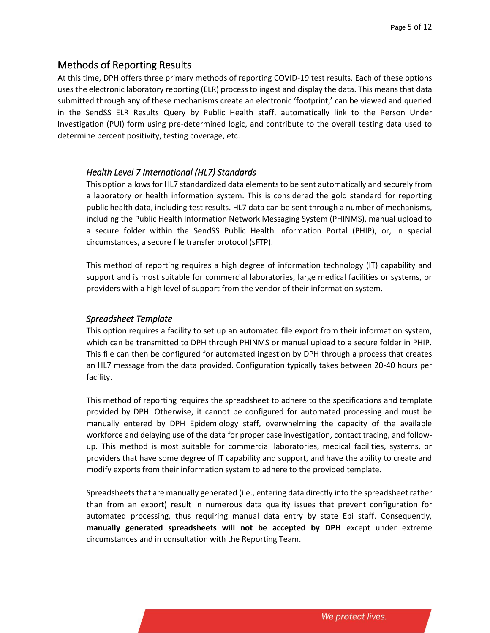### <span id="page-4-0"></span>Methods of Reporting Results

At this time, DPH offers three primary methods of reporting COVID-19 test results. Each of these options uses the electronic laboratory reporting (ELR) process to ingest and display the data. This means that data submitted through any of these mechanisms create an electronic 'footprint,' can be viewed and queried in the SendSS ELR Results Query by Public Health staff, automatically link to the Person Under Investigation (PUI) form using pre-determined logic, and contribute to the overall testing data used to determine percent positivity, testing coverage, etc.

#### <span id="page-4-1"></span>*Health Level 7 International (HL7) Standards*

This option allows for HL7 standardized data elements to be sent automatically and securely from a laboratory or health information system. This is considered the gold standard for reporting public health data, including test results. HL7 data can be sent through a number of mechanisms, including the Public Health Information Network Messaging System (PHINMS), manual upload to a secure folder within the SendSS Public Health Information Portal (PHIP), or, in special circumstances, a secure file transfer protocol (sFTP).

This method of reporting requires a high degree of information technology (IT) capability and support and is most suitable for commercial laboratories, large medical facilities or systems, or providers with a high level of support from the vendor of their information system.

#### <span id="page-4-2"></span>*Spreadsheet Template*

This option requires a facility to set up an automated file export from their information system, which can be transmitted to DPH through PHINMS or manual upload to a secure folder in PHIP. This file can then be configured for automated ingestion by DPH through a process that creates an HL7 message from the data provided. Configuration typically takes between 20-40 hours per facility.

This method of reporting requires the spreadsheet to adhere to the specifications and template provided by DPH. Otherwise, it cannot be configured for automated processing and must be manually entered by DPH Epidemiology staff, overwhelming the capacity of the available workforce and delaying use of the data for proper case investigation, contact tracing, and followup. This method is most suitable for commercial laboratories, medical facilities, systems, or providers that have some degree of IT capability and support, and have the ability to create and modify exports from their information system to adhere to the provided template.

Spreadsheets that are manually generated (i.e., entering data directly into the spreadsheet rather than from an export) result in numerous data quality issues that prevent configuration for automated processing, thus requiring manual data entry by state Epi staff. Consequently, **manually generated spreadsheets will not be accepted by DPH** except under extreme circumstances and in consultation with the Reporting Team.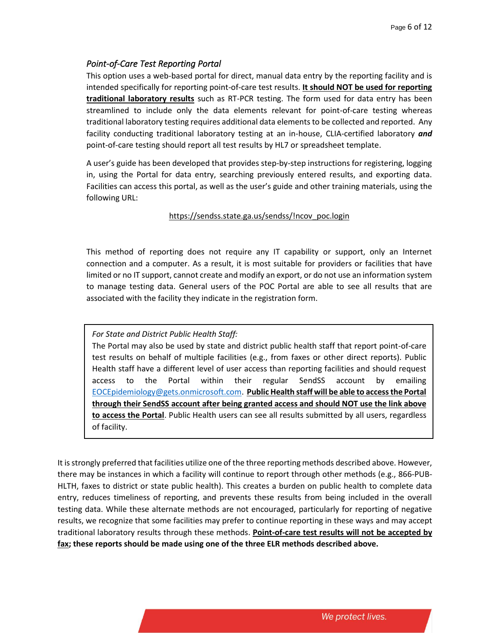### <span id="page-5-0"></span>*Point-of-Care Test Reporting Portal*

This option uses a web-based portal for direct, manual data entry by the reporting facility and is intended specifically for reporting point-of-care test results. **It should NOT be used for reporting traditional laboratory results** such as RT-PCR testing. The form used for data entry has been streamlined to include only the data elements relevant for point-of-care testing whereas traditional laboratory testing requires additional data elements to be collected and reported. Any facility conducting traditional laboratory testing at an in-house, CLIA-certified laboratory *and* point-of-care testing should report all test results by HL7 or spreadsheet template.

A user's guide has been developed that provides step-by-step instructions for registering, logging in, using the Portal for data entry, searching previously entered results, and exporting data. Facilities can access this portal, as well as the user's guide and other training materials, using the following URL:

### https://sendss.state.ga.us/sendss/!ncov\_poc.login

This method of reporting does not require any IT capability or support, only an Internet connection and a computer. As a result, it is most suitable for providers or facilities that have limited or no IT support, cannot create and modify an export, or do not use an information system to manage testing data. General users of the POC Portal are able to see all results that are associated with the facility they indicate in the registration form.

### *For State and District Public Health Staff:*

The Portal may also be used by state and district public health staff that report point-of-care test results on behalf of multiple facilities (e.g., from faxes or other direct reports). Public Health staff have a different level of user access than reporting facilities and should request access to the Portal within their regular SendSS account by emailing [EOCEpidemiology@gets.onmicrosoft.com.](mailto:EOCEpidemiology@gets.onmicrosoft.com) **Public Health staff will be able to access the Portal through their SendSS account after being granted access and should NOT use the link above to access the Portal**. Public Health users can see all results submitted by all users, regardless of facility.

It is strongly preferred that facilities utilize one of the three reporting methods described above. However, there may be instances in which a facility will continue to report through other methods (e.g., 866-PUB-HLTH, faxes to district or state public health). This creates a burden on public health to complete data entry, reduces timeliness of reporting, and prevents these results from being included in the overall testing data. While these alternate methods are not encouraged, particularly for reporting of negative results, we recognize that some facilities may prefer to continue reporting in these ways and may accept traditional laboratory results through these methods. **Point-of-care test results will not be accepted by fax; these reports should be made using one of the three ELR methods described above.**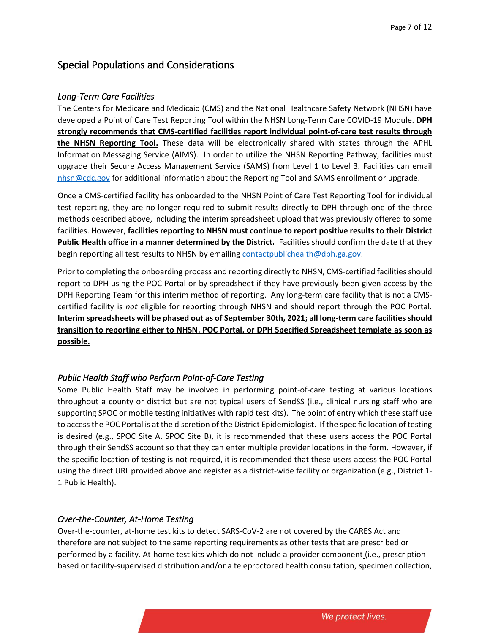# <span id="page-6-0"></span>Special Populations and Considerations

#### <span id="page-6-1"></span>*Long-Term Care Facilities*

The Centers for Medicare and Medicaid (CMS) and the National Healthcare Safety Network (NHSN) have developed a Point of Care Test Reporting Tool within the NHSN Long-Term Care COVID-19 Module. **DPH strongly recommends that CMS-certified facilities report individual point-of-care test results through the NHSN Reporting Tool.** These data will be electronically shared with states through the APHL Information Messaging Service (AIMS). In order to utilize the NHSN Reporting Pathway, facilities must upgrade their Secure Access Management Service (SAMS) from Level 1 to Level 3. Facilities can email [nhsn@cdc.gov](mailto:nhsn@cdc.gov) for additional information about the Reporting Tool and SAMS enrollment or upgrade.

Once a CMS-certified facility has onboarded to the NHSN Point of Care Test Reporting Tool for individual test reporting, they are no longer required to submit results directly to DPH through one of the three methods described above, including the interim spreadsheet upload that was previously offered to some facilities. However, **facilities reporting to NHSN must continue to report positive results to their District Public Health office in a manner determined by the District.** Facilities should confirm the date that they begin reporting all test results to NHSN by emailing [contactpublichealth@dph.ga.gov.](mailto:contactpublichealth@dph.ga.gov)

Prior to completing the onboarding process and reporting directly to NHSN, CMS-certified facilities should report to DPH using the POC Portal or by spreadsheet if they have previously been given access by the DPH Reporting Team for this interim method of reporting. Any long-term care facility that is not a CMScertified facility is *not* eligible for reporting through NHSN and should report through the POC Portal. **Interim spreadsheets will be phased out as of September 30th, 2021; all long-term care facilities should transition to reporting either to NHSN, POC Portal, or DPH Specified Spreadsheet template as soon as possible.** 

### <span id="page-6-2"></span>*Public Health Staff who Perform Point-of-Care Testing*

Some Public Health Staff may be involved in performing point-of-care testing at various locations throughout a county or district but are not typical users of SendSS (i.e., clinical nursing staff who are supporting SPOC or mobile testing initiatives with rapid test kits). The point of entry which these staff use to access the POC Portal is at the discretion of the District Epidemiologist. If the specific location of testing is desired (e.g., SPOC Site A, SPOC Site B), it is recommended that these users access the POC Portal through their SendSS account so that they can enter multiple provider locations in the form. However, if the specific location of testing is not required, it is recommended that these users access the POC Portal using the direct URL provided above and register as a district-wide facility or organization (e.g., District 1- 1 Public Health).

### <span id="page-6-3"></span>*Over-the-Counter, At-Home Testing*

Over-the-counter, at-home test kits to detect SARS-CoV-2 are not covered by the CARES Act and therefore are not subject to the same reporting requirements as other tests that are prescribed or performed by a facility. At-home test kits which do not include a provider component (i.e., prescriptionbased or facility-supervised distribution and/or a teleproctored health consultation, specimen collection,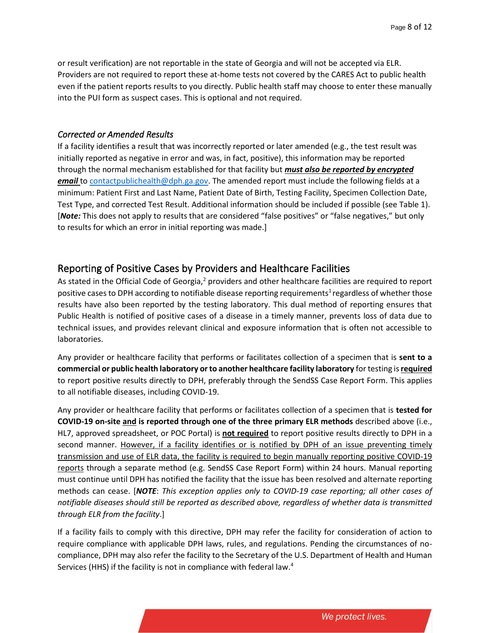or result verification) are not reportable in the state of Georgia and will not be accepted via ELR. Providers are not required to report these at-home tests not covered by the CARES Act to public health even if the patient reports results to you directly. Public health staff may choose to enter these manually into the PUI form as suspect cases. This is optional and not required.

#### <span id="page-7-0"></span>*Corrected or Amended Results*

If a facility identifies a result that was incorrectly reported or later amended (e.g., the test result was initially reported as negative in error and was, in fact, positive), this information may be reported through the normal mechanism established for that facility but *must also be reported by encrypted email* to [contactpublichealth@dph.ga.gov.](mailto:contactpublichealth@dph.ga.gov) The amended report must include the following fields at a minimum: Patient First and Last Name, Patient Date of Birth, Testing Facility, Specimen Collection Date, Test Type, and corrected Test Result. Additional information should be included if possible (see Table 1). [*Note:* This does not apply to results that are considered "false positives" or "false negatives," but only to results for which an error in initial reporting was made.]

### <span id="page-7-1"></span>Reporting of Positive Cases by Providers and Healthcare Facilities

As stated in the Official Code of Georgia,<sup>2</sup> providers and other healthcare facilities are required to report positive cases to DPH according to notifiable disease reporting requirements<sup>1</sup> regardless of whether those results have also been reported by the testing laboratory. This dual method of reporting ensures that Public Health is notified of positive cases of a disease in a timely manner, prevents loss of data due to technical issues, and provides relevant clinical and exposure information that is often not accessible to laboratories.

Any provider or healthcare facility that performs or facilitates collection of a specimen that is **sent to a commercial or public health laboratory or to another healthcare facility laboratory** for testing is **required** to report positive results directly to DPH, preferably through the SendSS Case Report Form. This applies to all notifiable diseases, including COVID-19.

Any provider or healthcare facility that performs or facilitates collection of a specimen that is **tested for COVID-19 on-site and is reported through one of the three primary ELR methods** described above (i.e., HL7, approved spreadsheet, or POC Portal) is **not required** to report positive results directly to DPH in a second manner. However, if a facility identifies or is notified by DPH of an issue preventing timely transmission and use of ELR data, the facility is required to begin manually reporting positive COVID-19 reports through a separate method (e.g. SendSS Case Report Form) within 24 hours. Manual reporting must continue until DPH has notified the facility that the issue has been resolved and alternate reporting methods can cease. [*NOTE*: *This exception applies only to COVID-19 case reporting; all other cases of notifiable diseases should still be reported as described above, regardless of whether data is transmitted through ELR from the facility*.]

If a facility fails to comply with this directive, DPH may refer the facility for consideration of action to require compliance with applicable DPH laws, rules, and regulations. Pending the circumstances of nocompliance, DPH may also refer the facility to the Secretary of the U.S. Department of Health and Human Services (HHS) if the facility is not in compliance with federal law.<sup>4</sup>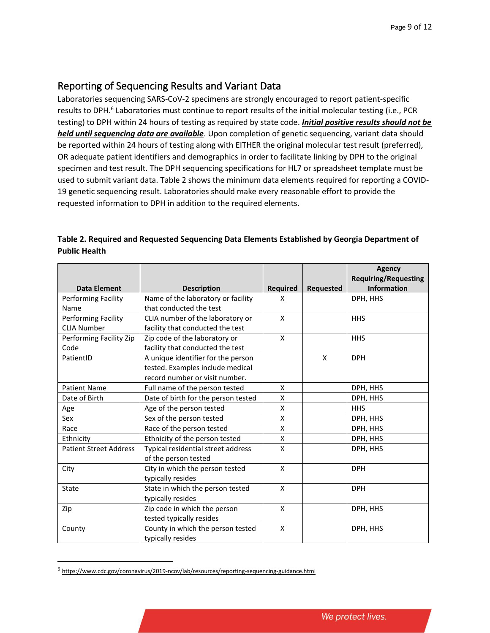# <span id="page-8-0"></span>Reporting of Sequencing Results and Variant Data

Laboratories sequencing SARS-CoV-2 specimens are strongly encouraged to report patient-specific results to DPH.<sup>6</sup> Laboratories must continue to report results of the initial molecular testing (i.e., PCR testing) to DPH within 24 hours of testing as required by state code. *Initial positive results should not be held until sequencing data are available*. Upon completion of genetic sequencing, variant data should be reported within 24 hours of testing along with EITHER the original molecular test result (preferred), OR adequate patient identifiers and demographics in order to facilitate linking by DPH to the original specimen and test result. The DPH sequencing specifications for HL7 or spreadsheet template must be used to submit variant data. Table 2 shows the minimum data elements required for reporting a COVID-19 genetic sequencing result. Laboratories should make every reasonable effort to provide the requested information to DPH in addition to the required elements.

|                               |                                     |                 |                  | <b>Agency</b><br><b>Requiring/Requesting</b> |
|-------------------------------|-------------------------------------|-----------------|------------------|----------------------------------------------|
| <b>Data Element</b>           | <b>Description</b>                  | <b>Required</b> | <b>Requested</b> | <b>Information</b>                           |
| <b>Performing Facility</b>    | Name of the laboratory or facility  | X               |                  | DPH, HHS                                     |
| Name                          | that conducted the test             |                 |                  |                                              |
| Performing Facility           | CLIA number of the laboratory or    | X               |                  | <b>HHS</b>                                   |
| <b>CLIA Number</b>            | facility that conducted the test    |                 |                  |                                              |
| Performing Facility Zip       | Zip code of the laboratory or       | X               |                  | <b>HHS</b>                                   |
| Code                          | facility that conducted the test    |                 |                  |                                              |
| PatientID                     | A unique identifier for the person  |                 | X                | <b>DPH</b>                                   |
|                               | tested. Examples include medical    |                 |                  |                                              |
|                               | record number or visit number.      |                 |                  |                                              |
| <b>Patient Name</b>           | Full name of the person tested      | X               |                  | DPH, HHS                                     |
| Date of Birth                 | Date of birth for the person tested | X               |                  | DPH, HHS                                     |
| Age                           | Age of the person tested            | X               |                  | <b>HHS</b>                                   |
| Sex                           | Sex of the person tested            | X               |                  | DPH, HHS                                     |
| Race                          | Race of the person tested           | X               |                  | DPH, HHS                                     |
| Ethnicity                     | Ethnicity of the person tested      | X               |                  | DPH, HHS                                     |
| <b>Patient Street Address</b> | Typical residential street address  | X               |                  | DPH, HHS                                     |
|                               | of the person tested                |                 |                  |                                              |
| City                          | City in which the person tested     | X               |                  | <b>DPH</b>                                   |
|                               | typically resides                   |                 |                  |                                              |
| State                         | State in which the person tested    | X               |                  | <b>DPH</b>                                   |
|                               | typically resides                   |                 |                  |                                              |
| Zip                           | Zip code in which the person        | X               |                  | DPH, HHS                                     |
|                               | tested typically resides            |                 |                  |                                              |
| County                        | County in which the person tested   | X               |                  | DPH, HHS                                     |
|                               | typically resides                   |                 |                  |                                              |

### **Table 2. Required and Requested Sequencing Data Elements Established by Georgia Department of Public Health**

<sup>&</sup>lt;sup>6</sup> <https://www.cdc.gov/coronavirus/2019-ncov/lab/resources/reporting-sequencing-guidance.html>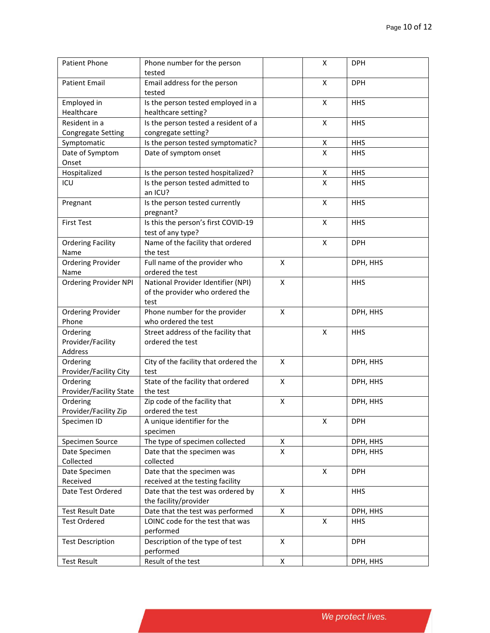| <b>Patient Phone</b>         | Phone number for the person           |   | X | <b>DPH</b> |
|------------------------------|---------------------------------------|---|---|------------|
|                              | tested                                |   |   |            |
| <b>Patient Email</b>         | Email address for the person          |   | X | <b>DPH</b> |
|                              | tested                                |   |   |            |
| Employed in                  | Is the person tested employed in a    |   | X | <b>HHS</b> |
| Healthcare                   | healthcare setting?                   |   |   |            |
| Resident in a                | Is the person tested a resident of a  |   | Χ | <b>HHS</b> |
| <b>Congregate Setting</b>    | congregate setting?                   |   |   |            |
| Symptomatic                  | Is the person tested symptomatic?     |   | x | <b>HHS</b> |
| Date of Symptom              | Date of symptom onset                 |   | X | <b>HHS</b> |
| Onset                        |                                       |   |   |            |
| Hospitalized                 | Is the person tested hospitalized?    |   | Χ | <b>HHS</b> |
| ICU                          | Is the person tested admitted to      |   | Χ | <b>HHS</b> |
|                              | an ICU?                               |   |   |            |
| Pregnant                     | Is the person tested currently        |   | X | <b>HHS</b> |
|                              | pregnant?                             |   |   |            |
| <b>First Test</b>            | Is this the person's first COVID-19   |   | X | <b>HHS</b> |
|                              | test of any type?                     |   |   |            |
| <b>Ordering Facility</b>     | Name of the facility that ordered     |   | X | <b>DPH</b> |
| Name                         | the test                              |   |   |            |
| <b>Ordering Provider</b>     | Full name of the provider who         | X |   | DPH, HHS   |
| Name                         | ordered the test                      |   |   |            |
| <b>Ordering Provider NPI</b> | National Provider Identifier (NPI)    | X |   | <b>HHS</b> |
|                              | of the provider who ordered the       |   |   |            |
|                              | test                                  |   |   |            |
| <b>Ordering Provider</b>     | Phone number for the provider         | X |   | DPH, HHS   |
| Phone                        | who ordered the test                  |   |   |            |
| Ordering                     | Street address of the facility that   |   | X | <b>HHS</b> |
| Provider/Facility            | ordered the test                      |   |   |            |
| Address                      |                                       |   |   |            |
| Ordering                     | City of the facility that ordered the | X |   | DPH, HHS   |
| Provider/Facility City       | test                                  |   |   |            |
| Ordering                     | State of the facility that ordered    | Χ |   | DPH, HHS   |
| Provider/Facility State      | the test                              |   |   |            |
| Ordering                     | Zip code of the facility that         | X |   | DPH, HHS   |
| Provider/Facility Zip        | ordered the test                      |   |   |            |
| Specimen ID                  | A unique identifier for the           |   | X | <b>DPH</b> |
|                              | specimen                              |   |   |            |
| Specimen Source              | The type of specimen collected        | X |   | DPH, HHS   |
| Date Specimen                | Date that the specimen was            | X |   | DPH, HHS   |
| Collected                    | collected                             |   |   |            |
|                              |                                       |   |   |            |
| Date Specimen<br>Received    | Date that the specimen was            |   | X | <b>DPH</b> |
| Date Test Ordered            | received at the testing facility      | X |   |            |
|                              | Date that the test was ordered by     |   |   | <b>HHS</b> |
|                              | the facility/provider                 |   |   |            |
| <b>Test Result Date</b>      | Date that the test was performed      | X |   | DPH, HHS   |
| <b>Test Ordered</b>          | LOINC code for the test that was      |   | X | <b>HHS</b> |
|                              | performed                             |   |   |            |
| <b>Test Description</b>      | Description of the type of test       | X |   | <b>DPH</b> |
|                              | performed                             |   |   |            |
| <b>Test Result</b>           | Result of the test                    | X |   | DPH, HHS   |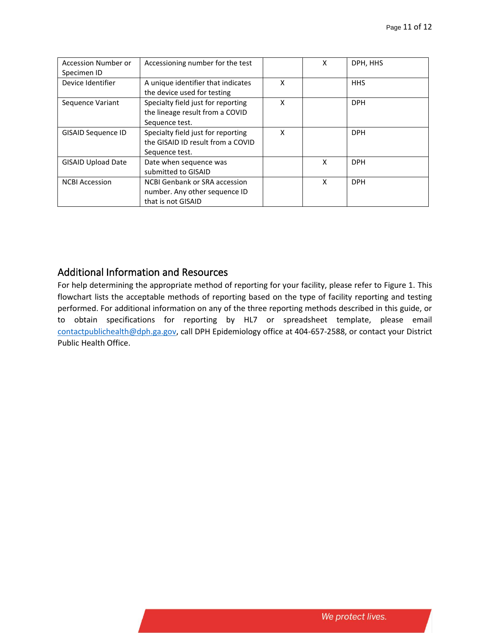| <b>Accession Number or</b> | Accessioning number for the test     |   | X | DPH, HHS   |
|----------------------------|--------------------------------------|---|---|------------|
| Specimen ID                |                                      |   |   |            |
| Device Identifier          | A unique identifier that indicates   | X |   | <b>HHS</b> |
|                            | the device used for testing          |   |   |            |
| Sequence Variant           | Specialty field just for reporting   | x |   | <b>DPH</b> |
|                            | the lineage result from a COVID      |   |   |            |
|                            | Sequence test.                       |   |   |            |
| <b>GISAID Sequence ID</b>  | Specialty field just for reporting   | X |   | <b>DPH</b> |
|                            | the GISAID ID result from a COVID    |   |   |            |
|                            | Sequence test.                       |   |   |            |
| <b>GISAID Upload Date</b>  | Date when sequence was               |   | X | <b>DPH</b> |
|                            | submitted to GISAID                  |   |   |            |
| <b>NCBI Accession</b>      | <b>NCBI Genbank or SRA accession</b> |   | X | <b>DPH</b> |
|                            | number. Any other sequence ID        |   |   |            |
|                            | that is not GISAID                   |   |   |            |

### <span id="page-10-0"></span>Additional Information and Resources

For help determining the appropriate method of reporting for your facility, please refer to Figure 1. This flowchart lists the acceptable methods of reporting based on the type of facility reporting and testing performed. For additional information on any of the three reporting methods described in this guide, or to obtain specifications for reporting by HL7 or spreadsheet template, please email [contactpublichealth@dph.ga.gov,](mailto:contactpublichealth@dph.ga.gov) call DPH Epidemiology office at 404-657-2588, or contact your District Public Health Office.